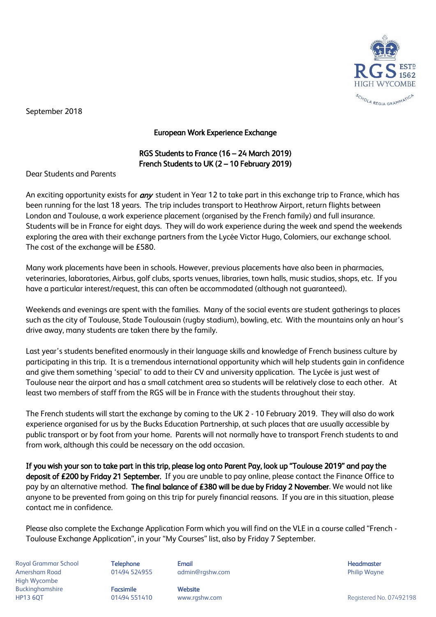

September 2018

## European Work Experience Exchange

## RGS Students to France (16 – 24 March 2019) French Students to UK (2 – 10 February 2019)

Dear Students and Parents

An exciting opportunity exists for *any* student in Year 12 to take part in this exchange trip to France, which has been running for the last 18 years. The trip includes transport to Heathrow Airport, return flights between London and Toulouse, a work experience placement (organised by the French family) and full insurance. Students will be in France for eight days. They will do work experience during the week and spend the weekends exploring the area with their exchange partners from the Lycée Victor Hugo, Colomiers, our exchange school. The cost of the exchange will be £580.

Many work placements have been in schools. However, previous placements have also been in pharmacies, veterinaries, laboratories, Airbus, golf clubs, sports venues, libraries, town halls, music studios, shops, etc. If you have a particular interest/request, this can often be accommodated (although not guaranteed).

Weekends and evenings are spent with the families. Many of the social events are student gatherings to places such as the city of Toulouse, Stade Toulousain (rugby stadium), bowling, etc. With the mountains only an hour's drive away, many students are taken there by the family.

Last year's students benefited enormously in their language skills and knowledge of French business culture by participating in this trip. It is a tremendous international opportunity which will help students gain in confidence and give them something 'special' to add to their CV and university application. The Lycée is just west of Toulouse near the airport and has a small catchment area so students will be relatively close to each other. At least two members of staff from the RGS will be in France with the students throughout their stay.

The French students will start the exchange by coming to the UK 2 - 10 February 2019. They will also do work experience organised for us by the Bucks Education Partnership, at such places that are usually accessible by public transport or by foot from your home. Parents will not normally have to transport French students to and from work, although this could be necessary on the odd occasion.

If you wish your son to take part in this trip, please log onto Parent Pay, look up "Toulouse 2019" and pay the deposit of £200 by Friday 21 September. If you are unable to pay online, please contact the Finance Office to pay by an alternative method. The final balance of £380 will be due by Friday 2 November. We would not like anyone to be prevented from going on this trip for purely financial reasons. If you are in this situation, please contact me in confidence.

Please also complete the Exchange Application Form which you will find on the VLE in a course called "French - Toulouse Exchange Application", in your "My Courses" list, also by Friday 7 September.

Royal Grammar School **Telephone Email Headmaster Email Headmaster Headmaster Headmaster** Amersham Road 01494 524955 admin@rgshw.com Philip Wayne High Wycombe Buckinghamshire **Facsimile Website**